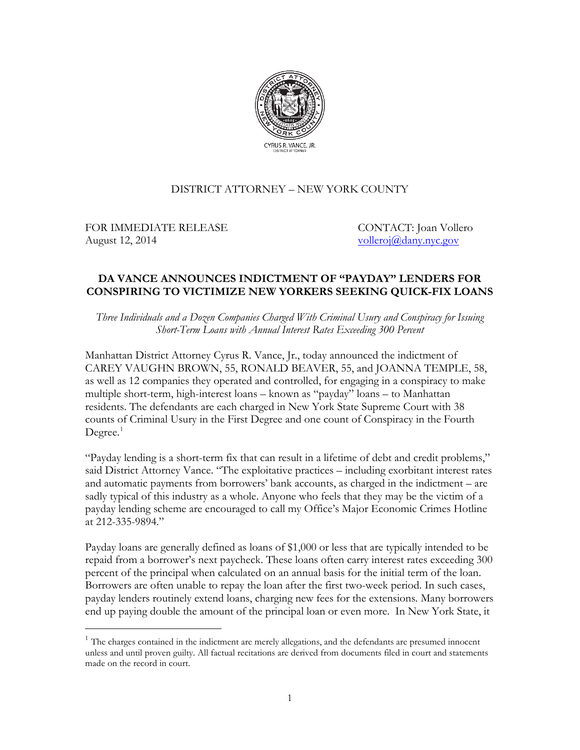

## DISTRICT ATTORNEY – NEW YORK COUNTY

FOR IMMEDIATE RELEASE CONTACT: Joan Vollero August 12, 2014 volleroj $\omega$ dany.nyc.gov

 $\overline{a}$ 

## **DA VANCE ANNOUNCES INDICTMENT OF "PAYDAY" LENDERS FOR CONSPIRING TO VICTIMIZE NEW YORKERS SEEKING QUICK-FIX LOANS**

*Three Individuals and a Dozen Companies Charged With Criminal Usury and Conspiracy for Issuing Short-Term Loans with Annual Interest Rates Exceeding 300 Percent*

Manhattan District Attorney Cyrus R. Vance, Jr., today announced the indictment of CAREY VAUGHN BROWN, 55, RONALD BEAVER, 55, and JOANNA TEMPLE, 58, as well as 12 companies they operated and controlled, for engaging in a conspiracy to make multiple short-term, high-interest loans – known as "payday" loans – to Manhattan residents. The defendants are each charged in New York State Supreme Court with 38 counts of Criminal Usury in the First Degree and one count of Conspiracy in the Fourth Degree. [1](#page-0-0)

"Payday lending is a short-term fix that can result in a lifetime of debt and credit problems," said District Attorney Vance. "The exploitative practices – including exorbitant interest rates and automatic payments from borrowers' bank accounts, as charged in the indictment – are sadly typical of this industry as a whole. Anyone who feels that they may be the victim of a payday lending scheme are encouraged to call my Office's Major Economic Crimes Hotline at 212-335-9894."

Payday loans are generally defined as loans of \$1,000 or less that are typically intended to be repaid from a borrower's next paycheck. These loans often carry interest rates exceeding 300 percent of the principal when calculated on an annual basis for the initial term of the loan. Borrowers are often unable to repay the loan after the first two-week period. In such cases, payday lenders routinely extend loans, charging new fees for the extensions. Many borrowers end up paying double the amount of the principal loan or even more. In New York State, it

<span id="page-0-0"></span> $<sup>1</sup>$  The charges contained in the indictment are merely allegations, and the defendants are presumed innocent</sup> unless and until proven guilty. All factual recitations are derived from documents filed in court and statements made on the record in court.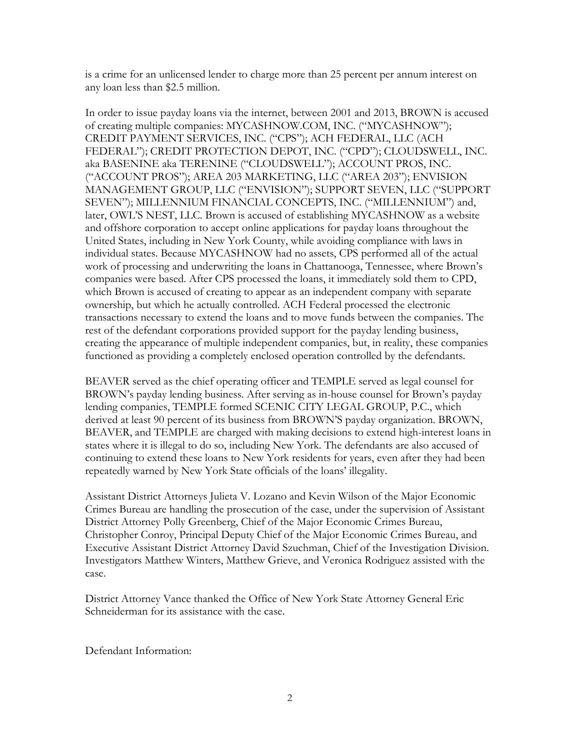is a crime for an unlicensed lender to charge more than 25 percent per annum interest on any loan less than \$2.5 million.

In order to issue payday loans via the internet, between 2001 and 2013, BROWN is accused of creating multiple companies: MYCASHNOW.COM, INC. ("MYCASHNOW"); CREDIT PAYMENT SERVICES, INC. ("CPS"); ACH FEDERAL, LLC (ACH FEDERAL"); CREDIT PROTECTION DEPOT, INC. ("CPD"); CLOUDSWELL, INC. aka BASENINE aka TERENINE ("CLOUDSWELL"); ACCOUNT PROS, INC. ("ACCOUNT PROS"); AREA 203 MARKETING, LLC ("AREA 203"); ENVISION MANAGEMENT GROUP, LLC ("ENVISION"); SUPPORT SEVEN, LLC ("SUPPORT SEVEN"); MILLENNIUM FINANCIAL CONCEPTS, INC. ("MILLENNIUM") and, later, OWL'S NEST, LLC. Brown is accused of establishing MYCASHNOW as a website and offshore corporation to accept online applications for payday loans throughout the United States, including in New York County, while avoiding compliance with laws in individual states. Because MYCASHNOW had no assets, CPS performed all of the actual work of processing and underwriting the loans in Chattanooga, Tennessee, where Brown's companies were based. After CPS processed the loans, it immediately sold them to CPD, which Brown is accused of creating to appear as an independent company with separate ownership, but which he actually controlled. ACH Federal processed the electronic transactions necessary to extend the loans and to move funds between the companies. The rest of the defendant corporations provided support for the payday lending business, creating the appearance of multiple independent companies, but, in reality, these companies functioned as providing a completely enclosed operation controlled by the defendants.

BEAVER served as the chief operating officer and TEMPLE served as legal counsel for BROWN's payday lending business. After serving as in-house counsel for Brown's payday lending companies, TEMPLE formed SCENIC CITY LEGAL GROUP, P.C., which derived at least 90 percent of its business from BROWN'S payday organization. BROWN, BEAVER, and TEMPLE are charged with making decisions to extend high-interest loans in states where it is illegal to do so, including New York. The defendants are also accused of continuing to extend these loans to New York residents for years, even after they had been repeatedly warned by New York State officials of the loans' illegality.

Assistant District Attorneys Julieta V. Lozano and Kevin Wilson of the Major Economic Crimes Bureau are handling the prosecution of the case, under the supervision of Assistant District Attorney Polly Greenberg, Chief of the Major Economic Crimes Bureau, Christopher Conroy, Principal Deputy Chief of the Major Economic Crimes Bureau, and Executive Assistant District Attorney David Szuchman, Chief of the Investigation Division. Investigators Matthew Winters, Matthew Grieve, and Veronica Rodriguez assisted with the case.

District Attorney Vance thanked the Office of New York State Attorney General Eric Schneiderman for its assistance with the case.

Defendant Information: